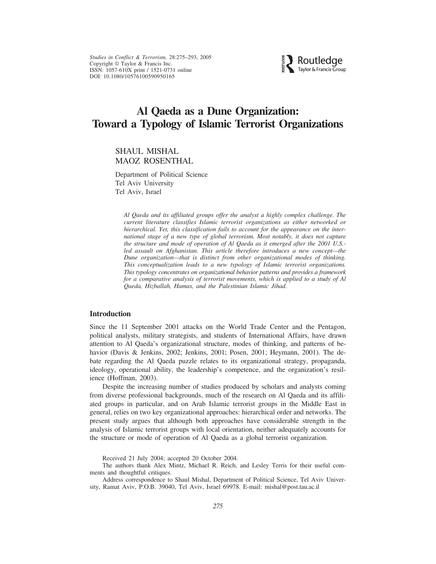

# **Al Qaeda as a Dune Organization: Toward a Typology of Islamic Terrorist Organizations**

## SHAUL MISHAL MAOZ ROSENTHAL

Department of Political Science Tel Aviv University Tel Aviv, Israel

*Al Qaeda and its affiliated groups offer the analyst a highly complex challenge. The current literature classifies Islamic terrorist organizations as either networked or hierarchical. Yet, this classification fails to account for the appearance on the international stage of a new type of global terrorism. Most notably, it does not capture the structure and mode of operation of Al Qaeda as it emerged after the 2001 U.S. led assault on Afghanistan. This article therefore introduces a new concept—the Dune organization—that is distinct from other organizational modes of thinking. This conceptualization leads to a new typology of Islamic terrorist organizations. This typology concentrates on organizational behavior patterns and provides a framework for a comparative analysis of terrorist movements, which is applied to a study of Al Qaeda, Hizballah, Hamas, and the Palestinian Islamic Jihad.*

#### **Introduction**

Since the 11 September 2001 attacks on the World Trade Center and the Pentagon, political analysts, military strategists, and students of International Affairs, have drawn attention to Al Qaeda's organizational structure, modes of thinking, and patterns of behavior (Davis & Jenkins, 2002; Jenkins, 2001; Posen, 2001; Heymann, 2001). The debate regarding the Al Qaeda puzzle relates to its organizational strategy, propaganda, ideology, operational ability, the leadership's competence, and the organization's resilience (Hoffman, 2003).

Despite the increasing number of studies produced by scholars and analysts coming from diverse professional backgrounds, much of the research on Al Qaeda and its affiliated groups in particular, and on Arab Islamic terrorist groups in the Middle East in general, relies on two key organizational approaches: hierarchical order and networks. The present study argues that although both approaches have considerable strength in the analysis of Islamic terrorist groups with local orientation, neither adequately accounts for the structure or mode of operation of Al Qaeda as a global terrorist organization.

Received 21 July 2004; accepted 20 October 2004.

The authors thank Alex Mintz, Michael R. Reich, and Lesley Terris for their useful comments and thoughtful critiques.

Address correspondence to Shaul Mishal, Department of Political Science, Tel Aviv University, Ramat Aviv, P.O.B. 39040, Tel Aviv, Israel 69978. E-mail: mishal@post.tau.ac.il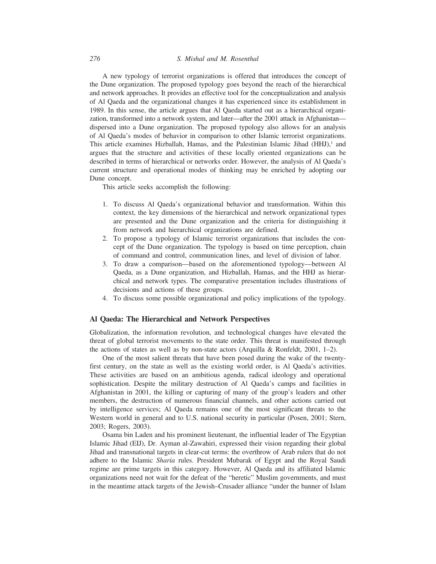A new typology of terrorist organizations is offered that introduces the concept of the Dune organization. The proposed typology goes beyond the reach of the hierarchical and network approaches. It provides an effective tool for the conceptualization and analysis of Al Qaeda and the organizational changes it has experienced since its establishment in 1989. In this sense, the article argues that Al Qaeda started out as a hierarchical organization, transformed into a network system, and later—after the 2001 attack in Afghanistan dispersed into a Dune organization. The proposed typology also allows for an analysis of Al Qaeda's modes of behavior in comparison to other Islamic terrorist organizations. This article examines Hizballah, Hamas, and the Palestinian Islamic Jihad (HHJ),<sup>1</sup> and argues that the structure and activities of these locally oriented organizations can be described in terms of hierarchical or networks order. However, the analysis of Al Qaeda's current structure and operational modes of thinking may be enriched by adopting our Dune concept.

This article seeks accomplish the following:

- 1. To discuss Al Qaeda's organizational behavior and transformation. Within this context, the key dimensions of the hierarchical and network organizational types are presented and the Dune organization and the criteria for distinguishing it from network and hierarchical organizations are defined.
- 2. To propose a typology of Islamic terrorist organizations that includes the concept of the Dune organization. The typology is based on time perception, chain of command and control, communication lines, and level of division of labor.
- 3. To draw a comparison—based on the aforementioned typology—between Al Qaeda, as a Dune organization, and Hizballah, Hamas, and the HHJ as hierarchical and network types. The comparative presentation includes illustrations of decisions and actions of these groups.
- 4. To discuss some possible organizational and policy implications of the typology.

#### **Al Qaeda: The Hierarchical and Network Perspectives**

Globalization, the information revolution, and technological changes have elevated the threat of global terrorist movements to the state order. This threat is manifested through the actions of states as well as by non-state actors (Arquilla & Ronfeldt, 2001, 1–2).

One of the most salient threats that have been posed during the wake of the twentyfirst century, on the state as well as the existing world order, is Al Qaeda's activities. These activities are based on an ambitious agenda, radical ideology and operational sophistication. Despite the military destruction of Al Qaeda's camps and facilities in Afghanistan in 2001, the killing or capturing of many of the group's leaders and other members, the destruction of numerous financial channels, and other actions carried out by intelligence services; Al Qaeda remains one of the most significant threats to the Western world in general and to U.S. national security in particular (Posen, 2001; Stern, 2003; Rogers, 2003).

Osama bin Laden and his prominent lieutenant, the influential leader of The Egyptian Islamic Jihad (EIJ), Dr. Ayman al-Zawahiri, expressed their vision regarding their global Jihad and transnational targets in clear-cut terms: the overthrow of Arab rulers that do not adhere to the Islamic *Sharia* rules. President Mubarak of Egypt and the Royal Saudi regime are prime targets in this category. However, Al Qaeda and its affiliated Islamic organizations need not wait for the defeat of the "heretic" Muslim governments, and must in the meantime attack targets of the Jewish–Crusader alliance "under the banner of Islam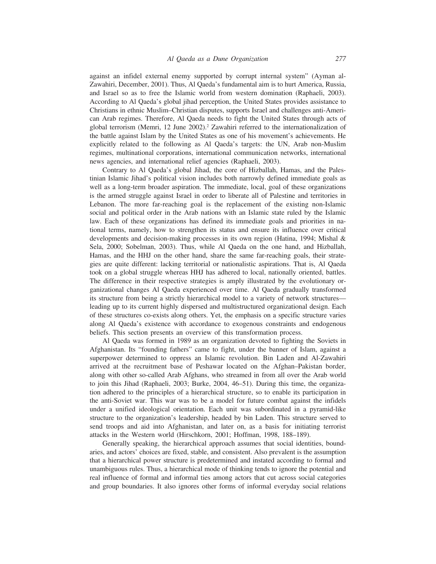against an infidel external enemy supported by corrupt internal system" (Ayman al-Zawahiri, December, 2001). Thus, Al Qaeda's fundamental aim is to hurt America, Russia, and Israel so as to free the Islamic world from western domination (Raphaeli, 2003). According to Al Qaeda's global jihad perception, the United States provides assistance to Christians in ethnic Muslim–Christian disputes, supports Israel and challenges anti-American Arab regimes. Therefore, Al Qaeda needs to fight the United States through acts of global terrorism (Memri, 12 June 2002).<sup>2</sup> Zawahiri referred to the internationalization of the battle against Islam by the United States as one of his movement's achievements. He explicitly related to the following as Al Qaeda's targets: the UN, Arab non-Muslim regimes, multinational corporations, international communication networks, international news agencies, and international relief agencies (Raphaeli, 2003).

Contrary to Al Qaeda's global Jihad, the core of Hizballah, Hamas, and the Palestinian Islamic Jihad's political vision includes both narrowly defined immediate goals as well as a long-term broader aspiration. The immediate, local, goal of these organizations is the armed struggle against Israel in order to liberate all of Palestine and territories in Lebanon. The more far-reaching goal is the replacement of the existing non-Islamic social and political order in the Arab nations with an Islamic state ruled by the Islamic law. Each of these organizations has defined its immediate goals and priorities in national terms, namely, how to strengthen its status and ensure its influence over critical developments and decision-making processes in its own region (Hatina, 1994; Mishal & Sela, 2000; Sobelman, 2003). Thus, while Al Qaeda on the one hand, and Hizballah, Hamas, and the HHJ on the other hand, share the same far-reaching goals, their strategies are quite different: lacking territorial or nationalistic aspirations. That is, Al Qaeda took on a global struggle whereas HHJ has adhered to local, nationally oriented, battles. The difference in their respective strategies is amply illustrated by the evolutionary organizational changes Al Qaeda experienced over time. Al Qaeda gradually transformed its structure from being a strictly hierarchical model to a variety of network structures leading up to its current highly dispersed and multistructured organizational design. Each of these structures co-exists along others. Yet, the emphasis on a specific structure varies along Al Qaeda's existence with accordance to exogenous constraints and endogenous beliefs. This section presents an overview of this transformation process.

Al Qaeda was formed in 1989 as an organization devoted to fighting the Soviets in Afghanistan. Its "founding fathers" came to fight, under the banner of Islam, against a superpower determined to oppress an Islamic revolution. Bin Laden and Al-Zawahiri arrived at the recruitment base of Peshawar located on the Afghan–Pakistan border, along with other so-called Arab Afghans, who streamed in from all over the Arab world to join this Jihad (Raphaeli, 2003; Burke, 2004, 46–51). During this time, the organization adhered to the principles of a hierarchical structure, so to enable its participation in the anti-Soviet war. This war was to be a model for future combat against the infidels under a unified ideological orientation. Each unit was subordinated in a pyramid-like structure to the organization's leadership, headed by bin Laden. This structure served to send troops and aid into Afghanistan, and later on, as a basis for initiating terrorist attacks in the Western world (Hirschkorn, 2001; Hoffman, 1998, 188–189).

Generally speaking, the hierarchical approach assumes that social identities, boundaries, and actors' choices are fixed, stable, and consistent. Also prevalent is the assumption that a hierarchical power structure is predetermined and instated according to formal and unambiguous rules. Thus, a hierarchical mode of thinking tends to ignore the potential and real influence of formal and informal ties among actors that cut across social categories and group boundaries. It also ignores other forms of informal everyday social relations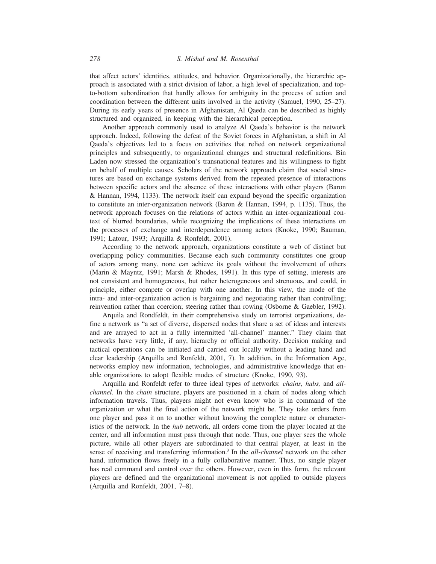that affect actors' identities, attitudes, and behavior. Organizationally, the hierarchic approach is associated with a strict division of labor, a high level of specialization, and topto-bottom subordination that hardly allows for ambiguity in the process of action and coordination between the different units involved in the activity (Samuel, 1990, 25–27). During its early years of presence in Afghanistan, Al Qaeda can be described as highly structured and organized, in keeping with the hierarchical perception.

Another approach commonly used to analyze Al Qaeda's behavior is the network approach. Indeed, following the defeat of the Soviet forces in Afghanistan, a shift in Al Qaeda's objectives led to a focus on activities that relied on network organizational principles and subsequently, to organizational changes and structural redefinitions. Bin Laden now stressed the organization's transnational features and his willingness to fight on behalf of multiple causes. Scholars of the network approach claim that social structures are based on exchange systems derived from the repeated presence of interactions between specific actors and the absence of these interactions with other players (Baron & Hannan, 1994, 1133). The network itself can expand beyond the specific organization to constitute an inter-organization network (Baron & Hannan, 1994, p. 1135). Thus, the network approach focuses on the relations of actors within an inter-organizational context of blurred boundaries, while recognizing the implications of these interactions on the processes of exchange and interdependence among actors (Knoke, 1990; Bauman, 1991; Latour, 1993; Arquilla & Ronfeldt, 2001).

According to the network approach, organizations constitute a web of distinct but overlapping policy communities. Because each such community constitutes one group of actors among many, none can achieve its goals without the involvement of others (Marin & Mayntz, 1991; Marsh & Rhodes, 1991). In this type of setting, interests are not consistent and homogeneous, but rather heterogeneous and strenuous, and could, in principle, either compete or overlap with one another. In this view, the mode of the intra- and inter-organization action is bargaining and negotiating rather than controlling; reinvention rather than coercion; steering rather than rowing (Osborne & Gaebler, 1992).

Arquila and Rondfeldt, in their comprehensive study on terrorist organizations, define a network as "a set of diverse, dispersed nodes that share a set of ideas and interests and are arrayed to act in a fully intermitted 'all-channel' manner." They claim that networks have very little, if any, hierarchy or official authority. Decision making and tactical operations can be initiated and carried out locally without a leading hand and clear leadership (Arquilla and Ronfeldt, 2001, 7). In addition, in the Information Age, networks employ new information, technologies, and administrative knowledge that enable organizations to adopt flexible modes of structure (Knoke, 1990, 93).

Arquilla and Ronfeldt refer to three ideal types of networks: *chains, hubs,* and *allchannel.* In the *chain* structure, players are positioned in a chain of nodes along which information travels. Thus, players might not even know who is in command of the organization or what the final action of the network might be. They take orders from one player and pass it on to another without knowing the complete nature or characteristics of the network. In the *hub* network, all orders come from the player located at the center, and all information must pass through that node. Thus, one player sees the whole picture, while all other players are subordinated to that central player, at least in the sense of receiving and transferring information.<sup>3</sup> In the *all-channel* network on the other hand, information flows freely in a fully collaborative manner. Thus, no single player has real command and control over the others. However, even in this form, the relevant players are defined and the organizational movement is not applied to outside players (Arquilla and Ronfeldt, 2001, 7–8).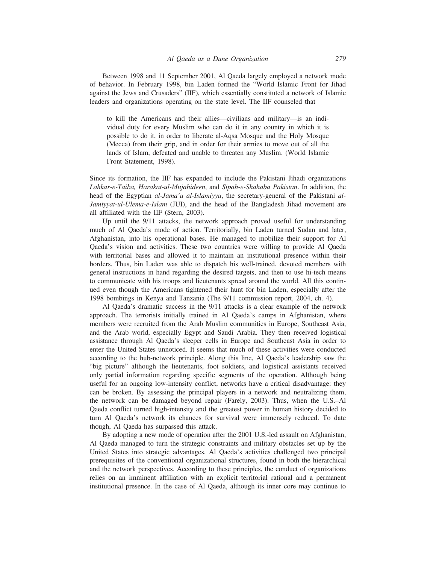Between 1998 and 11 September 2001, Al Qaeda largely employed a network mode of behavior. In February 1998, bin Laden formed the "World Islamic Front for Jihad against the Jews and Crusaders" (IIF), which essentially constituted a network of Islamic leaders and organizations operating on the state level. The IIF counseled that

to kill the Americans and their allies—civilians and military—is an individual duty for every Muslim who can do it in any country in which it is possible to do it, in order to liberate al-Aqsa Mosque and the Holy Mosque (Mecca) from their grip, and in order for their armies to move out of all the lands of Islam, defeated and unable to threaten any Muslim. (World Islamic Front Statement, 1998).

Since its formation, the IIF has expanded to include the Pakistani Jihadi organizations *Lahkar-e-Taiba, Harakat-ul-Mujahideen*, and *Sipah-e-Shahaba Pakistan*. In addition, the head of the Egyptian *al-Jama'a al-Islamiyya*, the secretary-general of the Pakistani *al-Jamiyyat-ul-Ulema-e-Islam* (JUI), and the head of the Bangladesh Jihad movement are all affiliated with the IIF (Stern, 2003).

Up until the 9/11 attacks, the network approach proved useful for understanding much of Al Qaeda's mode of action. Territorially, bin Laden turned Sudan and later, Afghanistan, into his operational bases. He managed to mobilize their support for Al Qaeda's vision and activities. These two countries were willing to provide Al Qaeda with territorial bases and allowed it to maintain an institutional presence within their borders. Thus, bin Laden was able to dispatch his well-trained, devoted members with general instructions in hand regarding the desired targets, and then to use hi-tech means to communicate with his troops and lieutenants spread around the world. All this continued even though the Americans tightened their hunt for bin Laden, especially after the 1998 bombings in Kenya and Tanzania (The 9/11 commission report, 2004, ch. 4).

Al Qaeda's dramatic success in the 9/11 attacks is a clear example of the network approach. The terrorists initially trained in Al Qaeda's camps in Afghanistan, where members were recruited from the Arab Muslim communities in Europe, Southeast Asia, and the Arab world, especially Egypt and Saudi Arabia. They then received logistical assistance through Al Qaeda's sleeper cells in Europe and Southeast Asia in order to enter the United States unnoticed. It seems that much of these activities were conducted according to the hub-network principle. Along this line, Al Qaeda's leadership saw the "big picture" although the lieutenants, foot soldiers, and logistical assistants received only partial information regarding specific segments of the operation. Although being useful for an ongoing low-intensity conflict, networks have a critical disadvantage: they can be broken. By assessing the principal players in a network and neutralizing them, the network can be damaged beyond repair (Farely, 2003). Thus, when the U.S.–Al Qaeda conflict turned high-intensity and the greatest power in human history decided to turn Al Qaeda's network its chances for survival were immensely reduced. To date though, Al Qaeda has surpassed this attack.

By adopting a new mode of operation after the 2001 U.S.-led assault on Afghanistan, Al Qaeda managed to turn the strategic constraints and military obstacles set up by the United States into strategic advantages. Al Qaeda's activities challenged two principal prerequisites of the conventional organizational structures, found in both the hierarchical and the network perspectives. According to these principles, the conduct of organizations relies on an imminent affiliation with an explicit territorial rational and a permanent institutional presence. In the case of Al Qaeda, although its inner core may continue to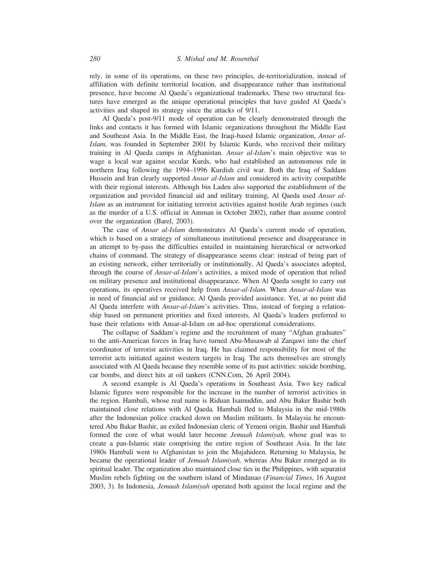rely, in some of its operations, on these two principles, de-territorialization, instead of affiliation with definite territorial location, and disappearance rather than institutional presence, have become Al Qaeda's organizational trademarks. These two structural features have emerged as the unique operational principles that have guided Al Qaeda's activities and shaped its strategy since the attacks of 9/11.

Al Qaeda's post-9/11 mode of operation can be clearly demonstrated through the links and contacts it has formed with Islamic organizations throughout the Middle East and Southeast Asia. In the Middle East, the Iraqi-based Islamic organization, *Ansar al-Islam,* was founded in September 2001 by Islamic Kurds, who received their military training in Al Qaeda camps in Afghanistan. *Ansar al-Islam*'s main objective was to wage a local war against secular Kurds, who had established an autonomous rule in northern Iraq following the 1994–1996 Kurdish civil war. Both the Iraq of Saddam Hussein and Iran clearly supported *Ansar al-Islam* and considered its activity compatible with their regional interests. Although bin Laden also supported the establishment of the organization and provided financial aid and military training, Al Qaeda used *Ansar al-Islam* as an instrument for initiating terrorist activities against hostile Arab regimes (such as the murder of a U.S. official in Amman in October 2002), rather than assume control over the organization (Barel, 2003).

The case of *Ansar al-Islam* demonstrates Al Qaeda's current mode of operation, which is based on a strategy of simultaneous institutional presence and disappearance in an attempt to by-pass the difficulties entailed in maintaining hierarchical or networked chains of command. The strategy of disappearance seems clear: instead of being part of an existing network, either territorially or institutionally, Al Qaeda's associates adopted, through the course of *Ansar-al-Islam*'s activities, a mixed mode of operation that relied on military presence and institutional disappearance. When Al Qaeda sought to carry out operations, its operatives received help from *Ansar-al-Islam.* When *Ansar-al-Islam* was in need of financial aid or guidance, Al Qaeda provided assistance. Yet, at no point did Al Qaeda interfere with *Ansar-al-Islam*'s activities. Thus, instead of forging a relationship based on permanent priorities and fixed interests, Al Qaeda's leaders preferred to base their relations with Ansar-al-Islam on ad-hoc operational considerations.

The collapse of Saddam's regime and the recruitment of many "Afghan graduates" to the anti-American forces in Iraq have turned Abu-Musawab al Zarqawi into the chief coordinator of terrorist activities in Iraq. He has claimed responsibility for most of the terrorist acts initiated against western targets in Iraq. The acts themselves are strongly associated with Al Qaeda because they resemble some of its past activities: suicide bombing, car bombs, and direct hits at oil tankers (CNN.Com, 26 April 2004).

A second example is Al Qaeda's operations in Southeast Asia. Two key radical Islamic figures were responsible for the increase in the number of terrorist activities in the region. Hambali, whose real name is Riduan Isamuddin, and Abu Baker Bashir both maintained close relations with Al Qaeda. Hambali fled to Malaysia in the mid-1980s after the Indonesian police cracked down on Muslim militants. In Malaysia he encountered Abu Bakar Bashir, an exiled Indonesian cleric of Yemeni origin. Bashir and Hambali formed the core of what would later become *Jemaah Islamiyah,* whose goal was to create a pan-Islamic state comprising the entire region of Southeast Asia. In the late 1980s Hambali went to Afghanistan to join the Mujahideen. Returning to Malaysia, he became the operational leader of *Jemaah Islamiyah,* whereas Abu Baker emerged as its spiritual leader. The organization also maintained close ties in the Philippines, with separatist Muslim rebels fighting on the southern island of Mindanao (*Financial Times*, 16 August 2003, 3). In Indonesia, *Jemaah Islamiyah* operated both against the local regime and the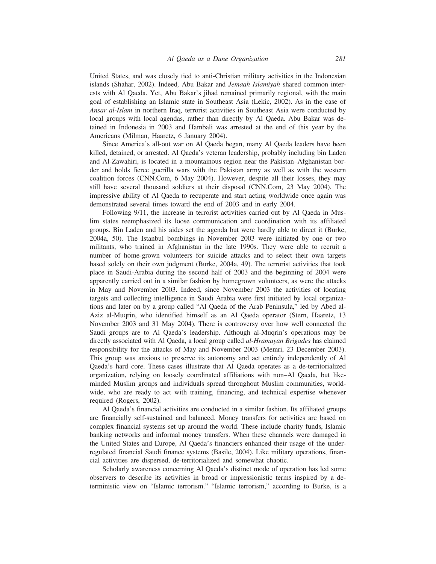United States, and was closely tied to anti-Christian military activities in the Indonesian islands (Shahar, 2002). Indeed*,* Abu Bakar and *Jemaah Islamiyah* shared common interests with Al Qaeda. Yet, Abu Bakar's jihad remained primarily regional, with the main goal of establishing an Islamic state in Southeast Asia (Lekic, 2002). As in the case of *Ansar al-Islam* in northern Iraq*,* terrorist activities in Southeast Asia were conducted by local groups with local agendas, rather than directly by Al Qaeda. Abu Bakar was detained in Indonesia in 2003 and Hambali was arrested at the end of this year by the Americans (Milman, Haaretz, 6 January 2004).

Since America's all-out war on Al Qaeda began, many Al Qaeda leaders have been killed, detained, or arrested. Al Qaeda's veteran leadership, probably including bin Laden and Al-Zawahiri, is located in a mountainous region near the Pakistan–Afghanistan border and holds fierce guerilla wars with the Pakistan army as well as with the western coalition forces (CNN.Com, 6 May 2004). However, despite all their losses, they may still have several thousand soldiers at their disposal (CNN.Com, 23 May 2004). The impressive ability of Al Qaeda to recuperate and start acting worldwide once again was demonstrated several times toward the end of 2003 and in early 2004.

Following 9/11, the increase in terrorist activities carried out by Al Qaeda in Muslim states reemphasized its loose communication and coordination with its affiliated groups. Bin Laden and his aides set the agenda but were hardly able to direct it (Burke, 2004a, 50). The Istanbul bombings in November 2003 were initiated by one or two militants, who trained in Afghanistan in the late 1990s. They were able to recruit a number of home-grown volunteers for suicide attacks and to select their own targets based solely on their own judgment (Burke, 2004a, 49). The terrorist activities that took place in Saudi-Arabia during the second half of 2003 and the beginning of 2004 were apparently carried out in a similar fashion by homegrown volunteers, as were the attacks in May and November 2003. Indeed, since November 2003 the activities of locating targets and collecting intelligence in Saudi Arabia were first initiated by local organizations and later on by a group called "Al Qaeda of the Arab Peninsula," led by Abed al-Aziz al-Muqrin, who identified himself as an Al Qaeda operator (Stern, Haaretz, 13 November 2003 and 31 May 2004). There is controversy over how well connected the Saudi groups are to Al Qaeda's leadership. Although al-Muqrin's operations may be directly associated with Al Qaeda, a local group called *al-Hramayan Brigades* has claimed responsibility for the attacks of May and November 2003 (Memri, 23 December 2003). This group was anxious to preserve its autonomy and act entirely independently of Al Qaeda's hard core. These cases illustrate that Al Qaeda operates as a de-territorialized organization, relying on loosely coordinated affiliations with non–Al Qaeda, but likeminded Muslim groups and individuals spread throughout Muslim communities, worldwide, who are ready to act with training, financing, and technical expertise whenever required (Rogers, 2002).

Al Qaeda's financial activities are conducted in a similar fashion. Its affiliated groups are financially self-sustained and balanced. Money transfers for activities are based on complex financial systems set up around the world. These include charity funds, Islamic banking networks and informal money transfers. When these channels were damaged in the United States and Europe, Al Qaeda's financiers enhanced their usage of the underregulated financial Saudi finance systems (Basile, 2004). Like military operations, financial activities are dispersed, de-territorialized and somewhat chaotic.

Scholarly awareness concerning Al Qaeda's distinct mode of operation has led some observers to describe its activities in broad or impressionistic terms inspired by a deterministic view on "Islamic terrorism." "Islamic terrorism," according to Burke, is a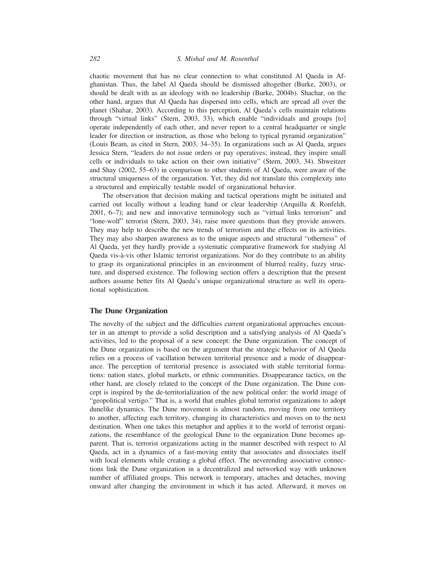chaotic movement that has no clear connection to what constituted Al Qaeda in Afghanistan. Thus, the label Al Qaeda should be dismissed altogether (Burke, 2003), or should be dealt with as an ideology with no leadership (Burke, 2004b). Shachar, on the other hand, argues that Al Qaeda has dispersed into cells, which are spread all over the planet (Shahar, 2003). According to this perception, Al Qaeda's cells maintain relations through "virtual links" (Stern, 2003, 33), which enable "individuals and groups [to] operate independently of each other, and never report to a central headquarter or single leader for direction or instruction, as those who belong to typical pyramid organization" (Louis Beam, as cited in Stern, 2003, 34–35). In organizations such as Al Qaeda, argues Jessica Stern, "leaders do not issue orders or pay operatives; instead, they inspire small cells or individuals to take action on their own initiative" (Stern, 2003, 34). Shweitzer and Shay (2002, 55–63) in comparison to other students of Al Qaeda, were aware of the structural uniqueness of the organization. Yet, they did not translate this complexity into a structured and empirically testable model of organizational behavior.

The observation that decision making and tactical operations might be initiated and carried out locally without a leading hand or clear leadership (Arquilla & Ronfeldt, 2001, 6–7); and new and innovative terminology such as "virtual links terrorism" and "lone-wolf" terrorist (Stern, 2003, 34), raise more questions than they provide answers. They may help to describe the new trends of terrorism and the effects on its activities. They may also sharpen awareness as to the unique aspects and structural "otherness" of Al Qaeda, yet they hardly provide a systematic comparative framework for studying Al Qaeda vis-à-vis other Islamic terrorist organizations. Nor do they contribute to an ability to grasp its organizational principles in an environment of blurred reality, fuzzy structure, and dispersed existence. The following section offers a description that the present authors assume better fits Al Qaeda's unique organizational structure as well its operational sophistication.

#### **The Dune Organization**

The novelty of the subject and the difficulties current organizational approaches encounter in an attempt to provide a solid description and a satisfying analysis of Al Qaeda's activities, led to the proposal of a new concept: the Dune organization. The concept of the Dune organization is based on the argument that the strategic behavior of Al Qaeda relies on a process of vacillation between territorial presence and a mode of disappearance. The perception of territorial presence is associated with stable territorial formations: nation states, global markets, or ethnic communities. Disappearance tactics, on the other hand, are closely related to the concept of the Dune organization. The Dune concept is inspired by the de-territorialization of the new political order: the world image of "geopolitical vertigo." That is, a world that enables global terrorist organizations to adopt dunelike dynamics. The Dune movement is almost random, moving from one territory to another, affecting each territory, changing its characteristics and moves on to the next destination. When one takes this metaphor and applies it to the world of terrorist organizations, the resemblance of the geological Dune to the organization Dune becomes apparent. That is, terrorist organizations acting in the manner described with respect to Al Qaeda, act in a dynamics of a fast-moving entity that associates and dissociates itself with local elements while creating a global effect. The neverending associative connections link the Dune organization in a decentralized and networked way with unknown number of affiliated groups. This network is temporary, attaches and detaches, moving onward after changing the environment in which it has acted. Afterward, it moves on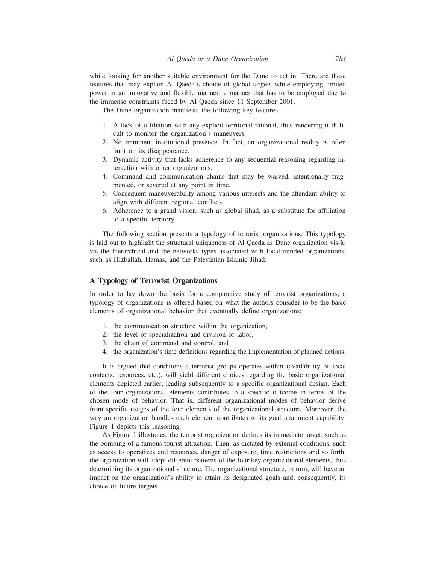while looking for another suitable environment for the Dune to act in. There are these features that may explain Al Qaeda's choice of global targets while employing limited power in an innovative and flexible manner; a manner that has to be employed due to the immense constraints faced by Al Qaeda since 11 September 2001.

The Dune organization manifests the following key features:

- 1. A lack of affiliation with any explicit territorial rational, thus rendering it difficult to monitor the organization's maneuvers.
- 2. No imminent institutional presence. In fact, an organizational reality is often built on its disappearance.
- 3. Dynamic activity that lacks adherence to any sequential reasoning regarding interaction with other organizations.
- 4. Command and communication chains that may be waived, intentionally fragmented, or severed at any point in time.
- 5. Consequent maneuverability among various interests and the attendant ability to align with different regional conflicts.
- 6. Adherence to a grand vision, such as global jihad, as a substitute for affiliation to a specific territory.

The following section presents a typology of terrorist organizations. This typology is laid out to highlight the structural uniqueness of Al Qaeda as Dune organization vis-àvis the hierarchical and the networks types associated with local-minded organizations, such as Hizballah, Hamas, and the Palestinian Islamic Jihad.

## **A Typology of Terrorist Organizations**

In order to lay down the basis for a comparative study of terrorist organizations, a typology of organizations is offered based on what the authors consider to be the basic elements of organizational behavior that eventually define organizations:

- 1. the communication structure within the organization,
- 2. the level of specialization and division of labor,
- 3. the chain of command and control, and
- 4. the organization's time definitions regarding the implementation of planned actions.

It is argued that conditions a terrorist groups operates within (availability of local contacts, resources, etc.), will yield different choices regarding the basic organizational elements depicted earlier, leading subsequently to a specific organizational design. Each of the four organizational elements contributes to a specific outcome in terms of the chosen mode of behavior. That is, different organizational modes of behavior derive from specific usages of the four elements of the organizational structure. Moreover, the way an organization handles each element contributes to its goal attainment capability. Figure 1 depicts this reasoning.

As Figure 1 illustrates, the terrorist organization defines its immediate target, such as the bombing of a famous tourist attraction. Then, as dictated by external conditions, such as access to operatives and resources, danger of exposure, time restrictions and so forth, the organization will adopt different patterns of the four key organizational elements, thus determining its organizational structure. The organizational structure, in turn, will have an impact on the organization's ability to attain its designated goals and, consequently, its choice of future targets.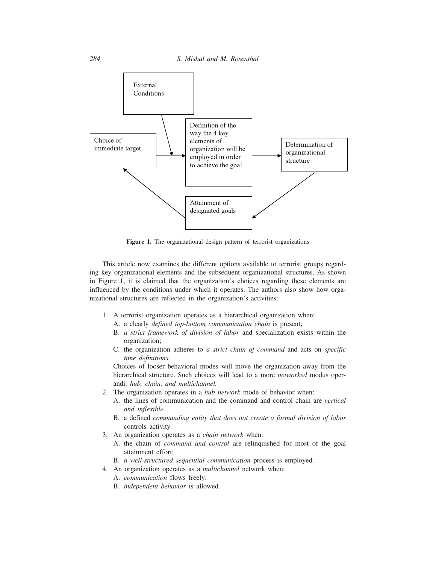

**Figure 1.** The organizational design pattern of terrorist organizations

This article now examines the different options available to terrorist groups regarding key organizational elements and the subsequent organizational structures. As shown in Figure 1, it is claimed that the organization's choices regarding these elements are influenced by the conditions under which it operates. The authors also show how organizational structures are reflected in the organization's activities:

- 1. A terrorist organization operates as a hierarchical organization when:
	- A. a clearly *defined top-bottom communication chain* is present;
	- B. *a strict framework of division of labor* and specialization exists within the organization;
	- C. the organization adheres to *a strict chain of command* and acts on *specific time definitions.*

Choices of looser behavioral modes will move the organization away from the hierarchical structure. Such choices will lead to a more *networked* modus operandi: *hub, chain, and multichannel.*

- 2. The organization operates in a *hub network* mode of behavior when:
	- A. the lines of communication and the command and control chain are *vertical and inflexible.*
	- B. a defined *commanding entity that does not create a formal division of labor* controls activity*.*
- 3. An organization operates as a *chain network* when:
	- A. the chain of *command and control* are relinquished for most of the goal attainment effort;
	- B. *a well-structured sequential communication* process is employed.
- 4. An organization operates as a *multichannel* network when:
	- A. *communication* flows freely;
	- B. *independent behavior* is allowed.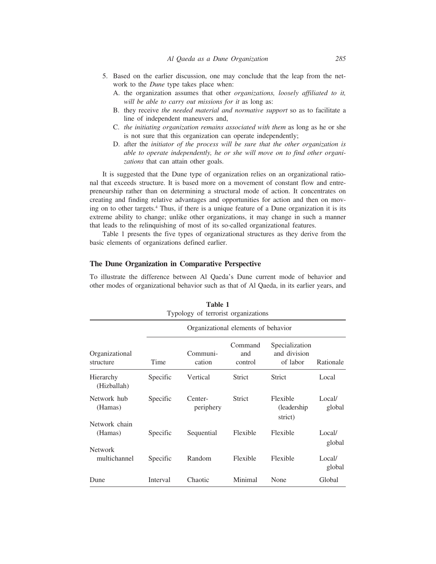- 5. Based on the earlier discussion, one may conclude that the leap from the network to the *Dune* type takes place when:
	- A. the organization assumes that other *organizations, loosely affiliated to it, will be able to carry out missions for it* as long as:
	- B. they receive *the needed material and normative support* so as to facilitate a line of independent maneuvers and,
	- C. *the initiating organization remains associated with them* as long as he or she is not sure that this organization can operate independently;
	- D. after the *initiator of the process will be sure that the other organization is able to operate independently, he or she will move on to find other organizations* that can attain other goals.

It is suggested that the Dune type of organization relies on an organizational rational that exceeds structure. It is based more on a movement of constant flow and entrepreneurship rather than on determining a structural mode of action. It concentrates on creating and finding relative advantages and opportunities for action and then on moving on to other targets.<sup>4</sup> Thus, if there is a unique feature of a Dune organization it is its extreme ability to change; unlike other organizations, it may change in such a manner that leads to the relinquishing of most of its so-called organizational features.

Table 1 presents the five types of organizational structures as they derive from the basic elements of organizations defined earlier.

## **The Dune Organization in Comparative Perspective**

To illustrate the difference between Al Qaeda's Dune current mode of behavior and other modes of organizational behavior such as that of Al Qaeda, in its earlier years, and

| Typology of terrorist organizations |                                     |                      |                           |                                            |                  |
|-------------------------------------|-------------------------------------|----------------------|---------------------------|--------------------------------------------|------------------|
| Organizational<br>structure         | Organizational elements of behavior |                      |                           |                                            |                  |
|                                     | Time                                | Communi-<br>cation   | Command<br>and<br>control | Specialization<br>and division<br>of labor | Rationale        |
| Hierarchy<br>(Hizballah)            | Specific                            | Vertical             | Strict                    | <b>Strict</b>                              | Local            |
| Network hub<br>(Hamas)              | Specific                            | Center-<br>periphery | <b>Strict</b>             | Flexible<br>(leadership)<br>strict)        | Local/<br>global |
| Network chain<br>(Hamas)            | Specific                            | Sequential           | Flexible                  | Flexible                                   | Local/<br>global |
| <b>Network</b><br>multichannel      | Specific                            | Random               | Flexible                  | Flexible                                   | Local/<br>global |
| Dune                                | Interval                            | Chaotic              | Minimal                   | None                                       | Global           |

**Table 1**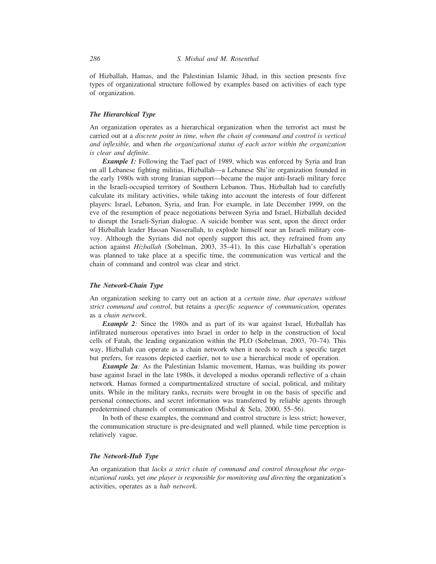of Hizballah, Hamas, and the Palestinian Islamic Jihad, in this section presents five types of organizational structure followed by examples based on activities of each type of organization.

### *The Hierarchical Type*

An organization operates as a hierarchical organization when the terrorist act must be carried out at a *discrete point in time, when the chain of command and control is vertical and inflexible,* and when *the organizational status of each actor within the organization is clear and definite.*

*Example 1:* Following the Taef pact of 1989, which was enforced by Syria and Iran on all Lebanese fighting militias, Hizballah—a Lebanese Shi'ite organization founded in the early 1980s with strong Iranian support—became the major anti-Israeli military force in the Israeli-occupied territory of Southern Lebanon. Thus, Hizballah had to carefully calculate its military activities, while taking into account the interests of four different players: Israel, Lebanon, Syria, and Iran. For example, in late December 1999, on the eve of the resumption of peace negotiations between Syria and Israel, Hizballah decided to disrupt the Israeli-Syrian dialogue. A suicide bomber was sent, upon the direct order of Hizballah leader Hassan Nasserallah, to explode himself near an Israeli military convoy. Although the Syrians did not openly support this act, they refrained from any action against *Hizballah* (Sobelman, 2003, 35–41). In this case Hizballah's operation was planned to take place at a specific time, the communication was vertical and the chain of command and control was clear and strict.

#### *The Network-Chain Type*

An organization seeking to carry out an action at a *certain time, that operates without strict command and control*, but retains a *specific sequence of communication,* operates as a *chain network*.

*Example 2:* Since the 1980s and as part of its war against Israel, Hizballah has infiltrated numerous operatives into Israel in order to help in the construction of local cells of Fatah, the leading organization within the PLO (Sobelman, 2003, 70–74). This way, Hizballah can operate as a chain network when it needs to reach a specific target but prefers, for reasons depicted eaerlier, not to use a hierarchical mode of operation.

*Example 2a:* As the Palestinian Islamic movement, Hamas, was building its power base against Israel in the late 1980s, it developed a modus operandi reflective of a chain network. Hamas formed a compartmentalized structure of social, political, and military units. While in the military ranks, recruits were brought in on the basis of specific and personal connections, and secret information was transferred by reliable agents through predetermined channels of communication (Mishal & Sela, 2000, 55–56).

In both of these examples, the command and control structure is less strict; however, the communication structure is pre-designated and well planned, while time perception is relatively vague.

#### *The Network-Hub Type*

An organization that *lacks a strict chain of command and control throughout the organizational ranks,* yet *one player is responsible for monitoring and directing* the organization's activities, operates as a *hub network.*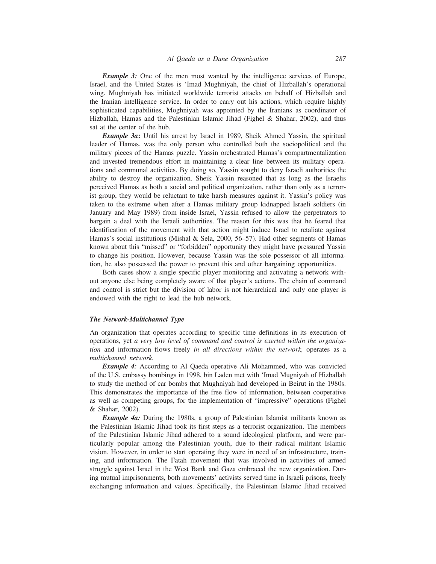*Example 3:* One of the men most wanted by the intelligence services of Europe, Israel, and the United States is 'Imad Mughniyah, the chief of Hizballah's operational wing. Mughniyah has initiated worldwide terrorist attacks on behalf of Hizballah and the Iranian intelligence service. In order to carry out his actions, which require highly sophisticated capabilities, Moghniyah was appointed by the Iranians as coordinator of Hizballah, Hamas and the Palestinian Islamic Jihad (Fighel & Shahar, 2002), and thus sat at the center of the hub.

**Example 3a:** Until his arrest by Israel in 1989, Sheik Ahmed Yassin, the spiritual leader of Hamas, was the only person who controlled both the sociopolitical and the military pieces of the Hamas puzzle. Yassin orchestrated Hamas's compartmentalization and invested tremendous effort in maintaining a clear line between its military operations and communal activities. By doing so, Yassin sought to deny Israeli authorities the ability to destroy the organization. Sheik Yassin reasoned that as long as the Israelis perceived Hamas as both a social and political organization, rather than only as a terrorist group, they would be reluctant to take harsh measures against it. Yassin's policy was taken to the extreme when after a Hamas military group kidnapped Israeli soldiers (in January and May 1989) from inside Israel, Yassin refused to allow the perpetrators to bargain a deal with the Israeli authorities. The reason for this was that he feared that identification of the movement with that action might induce Israel to retaliate against Hamas's social institutions (Mishal & Sela, 2000, 56–57). Had other segments of Hamas known about this "missed" or "forbidden" opportunity they might have pressured Yassin to change his position. However, because Yassin was the sole possessor of all information, he also possessed the power to prevent this and other bargaining opportunities.

Both cases show a single specific player monitoring and activating a network without anyone else being completely aware of that player's actions. The chain of command and control is strict but the division of labor is not hierarchical and only one player is endowed with the right to lead the hub network.

#### *The Network-Multichannel Type*

An organization that operates according to specific time definitions in its execution of operations, yet *a very low level of command and control is exerted within the organization* and information flows freely *in all directions within the network,* operates as a *multichannel network.*

*Example 4:* According to Al Qaeda operative Ali Mohammed, who was convicted of the U.S. embassy bombings in 1998, bin Laden met with 'Imad Mugniyah of Hizballah to study the method of car bombs that Mughniyah had developed in Beirut in the 1980s. This demonstrates the importance of the free flow of information, between cooperative as well as competing groups, for the implementation of "impressive" operations (Fighel & Shahar, 2002).

*Example 4a: During the 1980s, a group of Palestinian Islamist militants known as* the Palestinian Islamic Jihad took its first steps as a terrorist organization. The members of the Palestinian Islamic Jihad adhered to a sound ideological platform, and were particularly popular among the Palestinian youth, due to their radical militant Islamic vision. However, in order to start operating they were in need of an infrastructure, training, and information. The Fatah movement that was involved in activities of armed struggle against Israel in the West Bank and Gaza embraced the new organization. During mutual imprisonments, both movements' activists served time in Israeli prisons, freely exchanging information and values. Specifically, the Palestinian Islamic Jihad received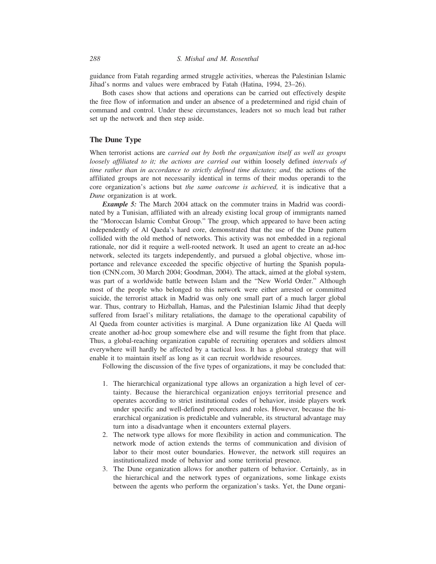guidance from Fatah regarding armed struggle activities, whereas the Palestinian Islamic Jihad's norms and values were embraced by Fatah (Hatina, 1994, 23–26).

Both cases show that actions and operations can be carried out effectively despite the free flow of information and under an absence of a predetermined and rigid chain of command and control. Under these circumstances, leaders not so much lead but rather set up the network and then step aside.

## **The Dune Type**

When terrorist actions are *carried out by both the organization itself as well as groups loosely affiliated to it; the actions are carried out* within loosely defined *intervals of time rather than in accordance to strictly defined time dictates; and,* the actions of the affiliated groups are not necessarily identical in terms of their modus operandi to the core organization's actions but *the same outcome is achieved,* it is indicative that a *Dune* organization is at work.

*Example 5:* The March 2004 attack on the commuter trains in Madrid was coordinated by a Tunisian, affiliated with an already existing local group of immigrants named the "Moroccan Islamic Combat Group." The group, which appeared to have been acting independently of Al Qaeda's hard core, demonstrated that the use of the Dune pattern collided with the old method of networks. This activity was not embedded in a regional rationale, nor did it require a well-rooted network. It used an agent to create an ad-hoc network, selected its targets independently, and pursued a global objective, whose importance and relevance exceeded the specific objective of hurting the Spanish population (CNN.com, 30 March 2004; Goodman, 2004). The attack, aimed at the global system, was part of a worldwide battle between Islam and the "New World Order." Although most of the people who belonged to this network were either arrested or committed suicide, the terrorist attack in Madrid was only one small part of a much larger global war. Thus, contrary to Hizballah, Hamas, and the Palestinian Islamic Jihad that deeply suffered from Israel's military retaliations, the damage to the operational capability of Al Qaeda from counter activities is marginal. A Dune organization like Al Qaeda will create another ad-hoc group somewhere else and will resume the fight from that place. Thus, a global-reaching organization capable of recruiting operators and soldiers almost everywhere will hardly be affected by a tactical loss. It has a global strategy that will enable it to maintain itself as long as it can recruit worldwide resources.

Following the discussion of the five types of organizations, it may be concluded that:

- 1. The hierarchical organizational type allows an organization a high level of certainty. Because the hierarchical organization enjoys territorial presence and operates according to strict institutional codes of behavior, inside players work under specific and well-defined procedures and roles. However, because the hierarchical organization is predictable and vulnerable, its structural advantage may turn into a disadvantage when it encounters external players.
- 2. The network type allows for more flexibility in action and communication. The network mode of action extends the terms of communication and division of labor to their most outer boundaries. However, the network still requires an institutionalized mode of behavior and some territorial presence.
- 3. The Dune organization allows for another pattern of behavior. Certainly, as in the hierarchical and the network types of organizations, some linkage exists between the agents who perform the organization's tasks. Yet, the Dune organi-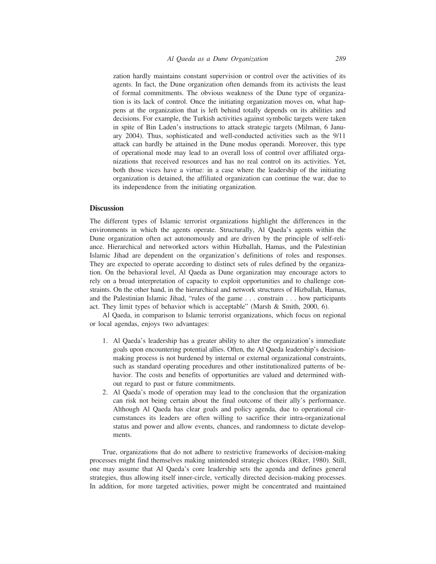zation hardly maintains constant supervision or control over the activities of its agents. In fact, the Dune organization often demands from its activists the least of formal commitments. The obvious weakness of the Dune type of organization is its lack of control. Once the initiating organization moves on, what happens at the organization that is left behind totally depends on its abilities and decisions. For example, the Turkish activities against symbolic targets were taken in spite of Bin Laden's instructions to attack strategic targets (Milman, 6 January 2004). Thus, sophisticated and well-conducted activities such as the 9/11 attack can hardly be attained in the Dune modus operandi. Moreover, this type of operational mode may lead to an overall loss of control over affiliated organizations that received resources and has no real control on its activities. Yet, both those vices have a virtue: in a case where the leadership of the initiating organization is detained, the affiliated organization can continue the war, due to its independence from the initiating organization.

#### **Discussion**

The different types of Islamic terrorist organizations highlight the differences in the environments in which the agents operate. Structurally, Al Qaeda's agents within the Dune organization often act autonomously and are driven by the principle of self-reliance. Hierarchical and networked actors within Hizballah, Hamas, and the Palestinian Islamic Jihad are dependent on the organization's definitions of roles and responses. They are expected to operate according to distinct sets of rules defined by the organization. On the behavioral level, Al Qaeda as Dune organization may encourage actors to rely on a broad interpretation of capacity to exploit opportunities and to challenge constraints. On the other hand, in the hierarchical and network structures of Hizballah, Hamas, and the Palestinian Islamic Jihad, "rules of the game . . . constrain . . . how participants act. They limit types of behavior which is acceptable" (Marsh & Smith, 2000, 6).

Al Qaeda, in comparison to Islamic terrorist organizations, which focus on regional or local agendas, enjoys two advantages:

- 1. Al Qaeda's leadership has a greater ability to alter the organization's immediate goals upon encountering potential allies. Often, the Al Qaeda leadership's decisionmaking process is not burdened by internal or external organizational constraints, such as standard operating procedures and other institutionalized patterns of behavior. The costs and benefits of opportunities are valued and determined without regard to past or future commitments.
- 2. Al Qaeda's mode of operation may lead to the conclusion that the organization can risk not being certain about the final outcome of their ally's performance. Although Al Qaeda has clear goals and policy agenda, due to operational circumstances its leaders are often willing to sacrifice their intra-organizational status and power and allow events, chances, and randomness to dictate developments.

True, organizations that do not adhere to restrictive frameworks of decision-making processes might find themselves making unintended strategic choices (Riker, 1980). Still, one may assume that Al Qaeda's core leadership sets the agenda and defines general strategies, thus allowing itself inner-circle, vertically directed decision-making processes. In addition, for more targeted activities, power might be concentrated and maintained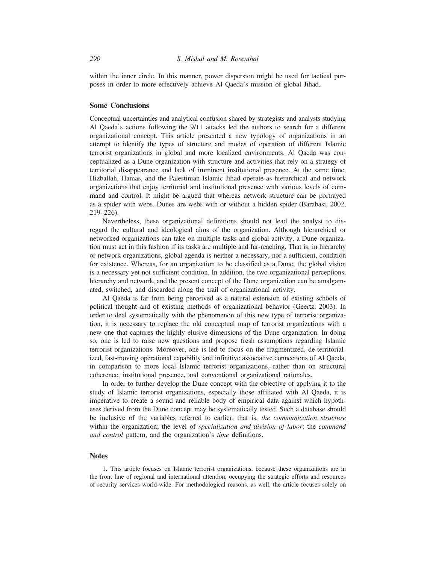within the inner circle. In this manner, power dispersion might be used for tactical purposes in order to more effectively achieve Al Qaeda's mission of global Jihad.

## **Some Conclusions**

Conceptual uncertainties and analytical confusion shared by strategists and analysts studying Al Qaeda's actions following the 9/11 attacks led the authors to search for a different organizational concept. This article presented a new typology of organizations in an attempt to identify the types of structure and modes of operation of different Islamic terrorist organizations in global and more localized environments. Al Qaeda was conceptualized as a Dune organization with structure and activities that rely on a strategy of territorial disappearance and lack of imminent institutional presence. At the same time, Hizballah, Hamas, and the Palestinian Islamic Jihad operate as hierarchical and network organizations that enjoy territorial and institutional presence with various levels of command and control. It might be argued that whereas network structure can be portrayed as a spider with webs, Dunes are webs with or without a hidden spider (Barabasi, 2002, 219–226).

Nevertheless, these organizational definitions should not lead the analyst to disregard the cultural and ideological aims of the organization. Although hierarchical or networked organizations can take on multiple tasks and global activity, a Dune organization must act in this fashion if its tasks are multiple and far-reaching. That is, in hierarchy or network organizations, global agenda is neither a necessary, nor a sufficient, condition for existence. Whereas, for an organization to be classified as a Dune, the global vision is a necessary yet not sufficient condition. In addition, the two organizational perceptions, hierarchy and network, and the present concept of the Dune organization can be amalgamated, switched, and discarded along the trail of organizational activity.

Al Qaeda is far from being perceived as a natural extension of existing schools of political thought and of existing methods of organizational behavior (Geertz, 2003). In order to deal systematically with the phenomenon of this new type of terrorist organization, it is necessary to replace the old conceptual map of terrorist organizations with a new one that captures the highly elusive dimensions of the Dune organization. In doing so, one is led to raise new questions and propose fresh assumptions regarding Islamic terrorist organizations. Moreover, one is led to focus on the fragmentized, de-territorialized, fast-moving operational capability and infinitive associative connections of Al Qaeda, in comparison to more local Islamic terrorist organizations, rather than on structural coherence, institutional presence, and conventional organizational rationales.

In order to further develop the Dune concept with the objective of applying it to the study of Islamic terrorist organizations, especially those affiliated with Al Qaeda, it is imperative to create a sound and reliable body of empirical data against which hypotheses derived from the Dune concept may be systematically tested. Such a database should be inclusive of the variables referred to earlier, that is, *the communication structure* within the organization; the level of *specialization and division of labor*; the *command and control* pattern, and the organization's *time* definitions.

#### **Notes**

1. This article focuses on Islamic terrorist organizations, because these organizations are in the front line of regional and international attention, occupying the strategic efforts and resources of security services world-wide. For methodological reasons, as well, the article focuses solely on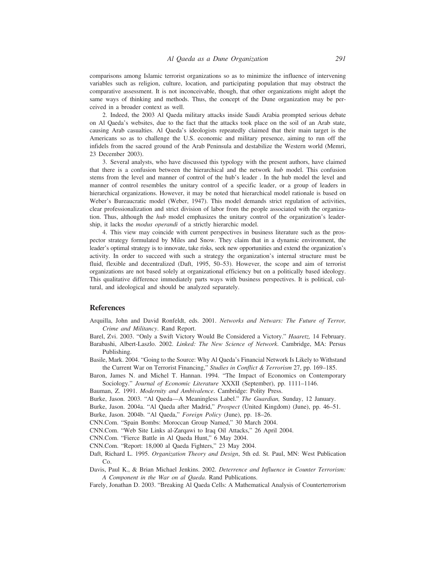comparisons among Islamic terrorist organizations so as to minimize the influence of intervening variables such as religion, culture, location, and participating population that may obstruct the comparative assessment. It is not inconceivable, though, that other organizations might adopt the same ways of thinking and methods. Thus, the concept of the Dune organization may be perceived in a broader context as well.

2. Indeed, the 2003 Al Qaeda military attacks inside Saudi Arabia prompted serious debate on Al Qaeda's websites, due to the fact that the attacks took place on the soil of an Arab state, causing Arab casualties. Al Qaeda's ideologists repeatedly claimed that their main target is the Americans so as to challenge the U.S. economic and military presence, aiming to run off the infidels from the sacred ground of the Arab Peninsula and destabilize the Western world (Memri, 23 December 2003).

3. Several analysts, who have discussed this typology with the present authors, have claimed that there is a confusion between the hierarchical and the network *hub* model. This confusion stems from the level and manner of control of the hub's leader . In the hub model the level and manner of control resembles the unitary control of a specific leader, or a group of leaders in hierarchical organizations. However, it may be noted that hierarchical model rationale is based on Weber's Bureaucratic model (Weber, 1947). This model demands strict regulation of activities, clear professionalization and strict division of labor from the people associated with the organization. Thus, although the *hub* model emphasizes the unitary control of the organization's leadership, it lacks the *modus operandi* of a strictly hierarchic model.

4. This view may coincide with current perspectives in business literature such as the prospector strategy formulated by Miles and Snow. They claim that in a dynamic environment, the leader's optimal strategy is to innovate, take risks, seek new opportunities and extend the organization's activity. In order to succeed with such a strategy the organization's internal structure must be fluid, flexible and decentralized (Daft, 1995, 50–53). However, the scope and aim of terrorist organizations are not based solely at organizational efficiency but on a politically based ideology. This qualitative difference immediately parts ways with business perspectives. It is political, cultural, and ideological and should be analyzed separately.

#### **References**

- Arquilla, John and David Ronfeldt, eds. 2001. *Networks and Netwars: The Future of Terror, Crime and Militancy*. Rand Report.
- Barel, Zvi. 2003. "Only a Swift Victory Would Be Considered a Victory." *Haaretz,* 14 February. Barabashi, Albert-Laszlo. 2002. *Linked: The New Science of Network*. Cambridge, MA: Persus Publishing.
- Basile, Mark. 2004. "Going to the Source: Why Al Qaeda's Financial Network Is Likely to Withstand the Current War on Terrorist Financing," *Studies in Conflict & Terrorism* 27, pp. 169–185.
- Baron, James N. and Michel T. Hannan. 1994. "The Impact of Economics on Contemporary Sociology." *Journal of Economic Literature* XXXII (September), pp. 1111–1146.
- Bauman, Z. 1991. *Modernity and Ambivalence*. Cambridge: Polity Press.
- Burke, Jason. 2003. "Al Qaeda—A Meaningless Label." *The Guardian,* Sunday, 12 January.
- Burke, Jason. 2004a. "Al Qaeda after Madrid," *Prospect* (United Kingdom) (June), pp. 46–51.

Burke, Jason. 2004b. "Al Qaeda," *Foreign Policy* (June), pp. 18–26.

CNN.Com. "Spain Bombs: Moroccan Group Named," 30 March 2004.

CNN.Com. "Web Site Links al-Zarqawi to Iraq Oil Attacks," 26 April 2004.

CNN.Com. "Fierce Battle in Al Qaeda Hunt," 6 May 2004.

CNN.Com. "Report: 18,000 al Qaeda Fighters," 23 May 2004.

- Daft, Richard L. 1995. *Organization Theory and Design*, 5th ed. St. Paul, MN: West Publication Co.
- Davis, Paul K., & Brian Michael Jenkins. 2002. *Deterrence and Influence in Counter Terrorism: A Component in the War on al Qaeda*. Rand Publications.
- Farely, Jonathan D. 2003. "Breaking Al Qaeda Cells: A Mathematical Analysis of Counterterrorism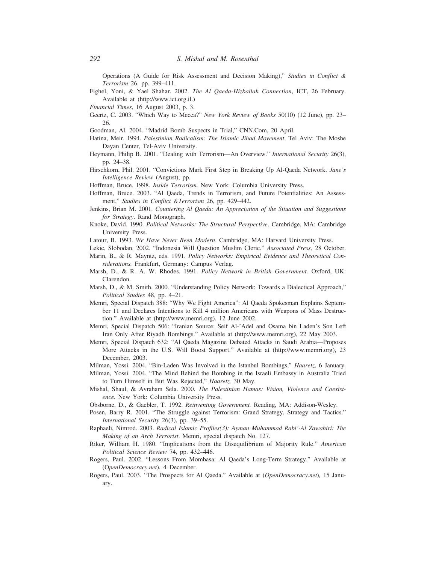Operations (A Guide for Risk Assessment and Decision Making)," *Studies in Conflict & Terrorism* 26, pp. 399–411.

- Fighel, Yoni, & Yael Shahar. 2002. *The Al Qaeda-Hizballah Connection*, ICT, 26 February. Available at (http://www.ict.org.il.)
- *Financial Times*, 16 August 2003, p. 3.
- Geertz, C. 2003. "Which Way to Mecca?" *New York Review of Books* 50(10) (12 June), pp. 23– 26.
- Goodman, Al. 2004. "Madrid Bomb Suspects in Trial," CNN.Com, 20 April.
- Hatina, Meir. 1994. *Palestinian Radicalism: The Islamic Jihad Movement*. Tel Aviv: The Moshe Dayan Center, Tel-Aviv University.
- Heymann, Philip B. 2001. "Dealing with Terrorism—An Overview." *International Security* 26(3), pp. 24–38.
- Hirschkorn, Phil. 2001. "Convictions Mark First Step in Breaking Up Al-Qaeda Network. *Jane's Intelligence Review* (August), pp.
- Hoffman, Bruce. 1998. *Inside Terrorism*. New York: Columbia University Press.
- Hoffman, Bruce. 2003. "Al Qaeda, Trends in Terrorism, and Future Potentialities: An Assessment," *Studies in Conflict &Terrorism* 26, pp. 429–442.
- Jenkins, Brian M. 2001. *Countering Al Qaeda: An Appreciation of the Situation and Suggestions for Strategy*. Rand Monograph.
- Knoke, David. 1990. *Political Networks: The Structural Perspective*. Cambridge, MA: Cambridge University Press.
- Latour, B. 1993. *We Have Never Been Modern*. Cambridge, MA: Harvard University Press.
- Lekic, Slobodan. 2002. "Indonesia Will Question Muslim Cleric." *Associated Press*, 28 October.
- Marin, B., & R. Mayntz, eds. 1991. *Policy Networks: Empirical Evidence and Theoretical Considerations.* Frankfurt, Germany: Campus Verlag.
- Marsh, D., & R. A. W. Rhodes. 1991. *Policy Network in British Government.* Oxford, UK: Clarendon.
- Marsh, D., & M. Smith. 2000. "Understanding Policy Network: Towards a Dialectical Approach," *Political Studies* 48, pp. 4–21.
- Memri, Special Dispatch 388: "Why We Fight America": Al Qaeda Spokesman Explains September 11 and Declares Intentions to Kill 4 million Americans with Weapons of Mass Destruction." Available at (http://www.memri.org), 12 June 2002.
- Memri, Special Dispatch 506: "Iranian Source: Seif Al-'Adel and Osama bin Laden's Son Left Iran Only After Riyadh Bombings." Available at (http://www.memri.org), 22 May 2003.
- Memri, Special Dispatch 632: "Al Qaeda Magazine Debated Attacks in Saudi Arabia—Proposes More Attacks in the U.S. Will Boost Support." Available at (http://www.memri.org), 23 December, 2003.
- Milman, Yossi. 2004. "Bin-Laden Was Involved in the Istanbul Bombings," *Haaretz*, 6 January.
- Milman, Yossi. 2004. "The Mind Behind the Bombing in the Israeli Embassy in Australia Tried to Turn Himself in But Was Rejected," *Haaretz,* 30 May.
- Mishal, Shaul, & Avraham Sela. 2000. *The Palestinian Hamas: Vision, Violence and Coexistence.* New York: Columbia University Press.
- Obsborne, D., & Gaebler, T. 1992. *Reinventing Government.* Reading, MA: Addison-Wesley.
- Posen, Barry R. 2001. "The Struggle against Terrorism: Grand Strategy, Strategy and Tactics." *International Security* 26(3), pp. 39–55.
- Raphaeli, Nimrod. 2003. *Radical Islamic Profiles(3): Ayman Muhammad Rabi'-Al Zawahiri: The Making of an Arch Terrorist*. Memri, special dispatch No. 127.
- Riker, William H. 1980. "Implications from the Disequilibrium of Majority Rule." *American Political Science Review* 74, pp. 432–446.
- Rogers, Paul. 2002. "Lessons From Mombasa: Al Qaeda's Long-Term Strategy." Available at (O*penDemocracy.net*), 4 December.
- Rogers, Paul. 2003. "The Prospects for Al Qaeda." Available at (*OpenDemocracy.net*)*,* 15 January.